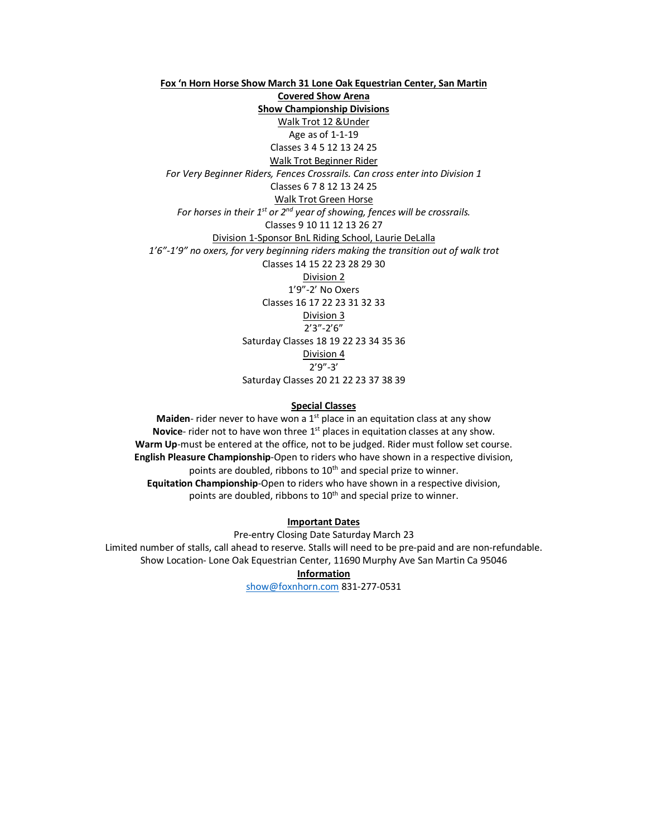**Fox 'n Horn Horse Show March 31 Lone Oak Equestrian Center, San Martin Covered Show Arena Show Championship Divisions**  Walk Trot 12 &Under Age as of 1-1-19 Classes 3 4 5 12 13 24 25 Walk Trot Beginner Rider *For Very Beginner Riders, Fences Crossrails. Can cross enter into Division 1* Classes 6 7 8 12 13 24 25 Walk Trot Green Horse *For horses in their 1st or 2nd year of showing, fences will be crossrails.* Classes 9 10 11 12 13 26 27 Division 1-Sponsor BnL Riding School, Laurie DeLalla *1'6"-1'9" no oxers, for very beginning riders making the transition out of walk trot* Classes 14 15 22 23 28 29 30 Division 2 1'9"-2' No Oxers Classes 16 17 22 23 31 32 33 Division 3 2'3"-2'6" Saturday Classes 18 19 22 23 34 35 36 Division 4 2'9"-3' Saturday Classes 20 21 22 23 37 38 39

## **Special Classes**

**Maiden**- rider never to have won a 1<sup>st</sup> place in an equitation class at any show **Novice**- rider not to have won three 1<sup>st</sup> places in equitation classes at any show. **Warm Up**-must be entered at the office, not to be judged. Rider must follow set course. **English Pleasure Championship**-Open to riders who have shown in a respective division, points are doubled, ribbons to 10<sup>th</sup> and special prize to winner. **Equitation Championship**-Open to riders who have shown in a respective division, points are doubled, ribbons to 10<sup>th</sup> and special prize to winner.

**Important Dates**

Pre-entry Closing Date Saturday March 23 Limited number of stalls, call ahead to reserve. Stalls will need to be pre-paid and are non-refundable. Show Location- Lone Oak Equestrian Center, 11690 Murphy Ave San Martin Ca 95046

**Information**

show@foxnhorn.com 831-277-0531